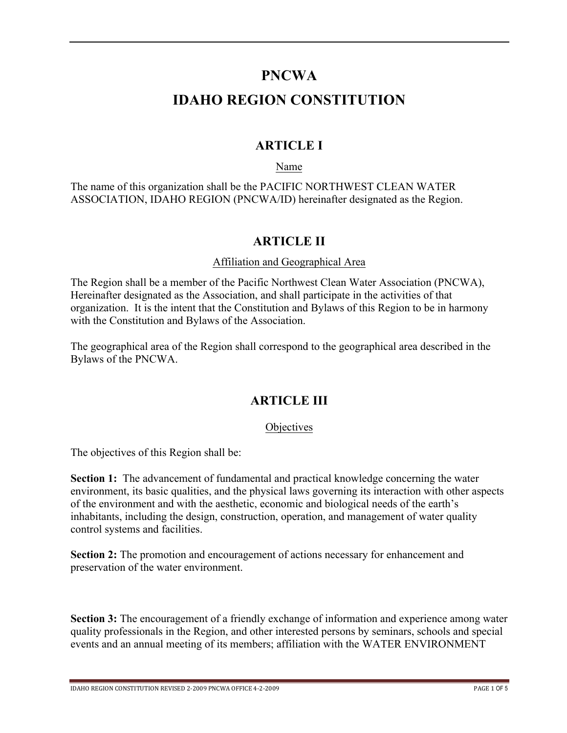### **PNCWA**

# **IDAHO REGION CONSTITUTION**

### **ARTICLE I**

Name

The name of this organization shall be the PACIFIC NORTHWEST CLEAN WATER ASSOCIATION, IDAHO REGION (PNCWA/ID) hereinafter designated as the Region.

### **ARTICLE II**

#### Affiliation and Geographical Area

The Region shall be a member of the Pacific Northwest Clean Water Association (PNCWA), Hereinafter designated as the Association, and shall participate in the activities of that organization. It is the intent that the Constitution and Bylaws of this Region to be in harmony with the Constitution and Bylaws of the Association.

The geographical area of the Region shall correspond to the geographical area described in the Bylaws of the PNCWA.

### **ARTICLE III**

#### **Objectives**

The objectives of this Region shall be:

**Section 1:** The advancement of fundamental and practical knowledge concerning the water environment, its basic qualities, and the physical laws governing its interaction with other aspects of the environment and with the aesthetic, economic and biological needs of the earth's inhabitants, including the design, construction, operation, and management of water quality control systems and facilities.

**Section 2:** The promotion and encouragement of actions necessary for enhancement and preservation of the water environment.

**Section 3:** The encouragement of a friendly exchange of information and experience among water quality professionals in the Region, and other interested persons by seminars, schools and special events and an annual meeting of its members; affiliation with the WATER ENVIRONMENT

IDAHO REGION CONSTITUTION REVISED 2-2009 PNCWA OFFICE 4-2-2009 PAGE 1 OF 5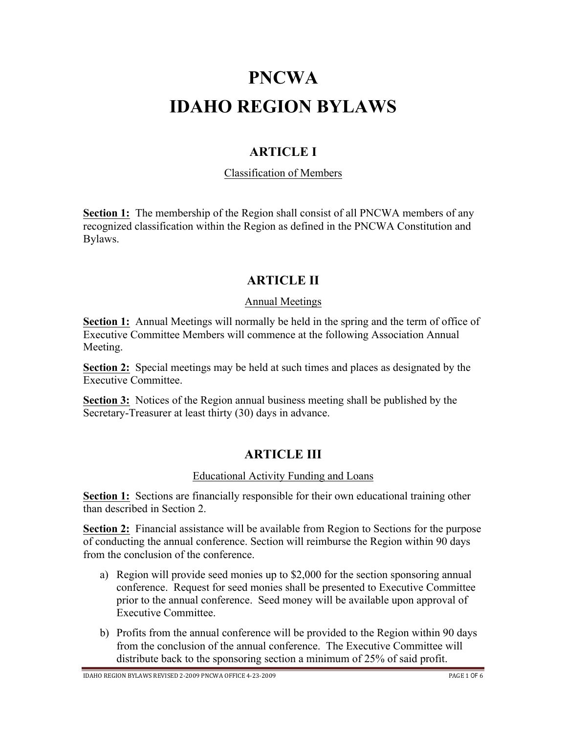# **PNCWA IDAHO REGION BYLAWS**

### **ARTICLE I**

#### Classification of Members

**Section 1:** The membership of the Region shall consist of all PNCWA members of any recognized classification within the Region as defined in the PNCWA Constitution and Bylaws.

### **ARTICLE II**

#### Annual Meetings

**Section 1:** Annual Meetings will normally be held in the spring and the term of office of Executive Committee Members will commence at the following Association Annual Meeting.

**Section 2:** Special meetings may be held at such times and places as designated by the Executive Committee.

**Section 3:** Notices of the Region annual business meeting shall be published by the Secretary-Treasurer at least thirty (30) days in advance.

### **ARTICLE III**

#### Educational Activity Funding and Loans

**Section 1:** Sections are financially responsible for their own educational training other than described in Section 2.

**Section 2:** Financial assistance will be available from Region to Sections for the purpose of conducting the annual conference. Section will reimburse the Region within 90 days from the conclusion of the conference.

- a) Region will provide seed monies up to \$2,000 for the section sponsoring annual conference. Request for seed monies shall be presented to Executive Committee prior to the annual conference. Seed money will be available upon approval of Executive Committee.
- b) Profits from the annual conference will be provided to the Region within 90 days from the conclusion of the annual conference. The Executive Committee will distribute back to the sponsoring section a minimum of 25% of said profit.

IDAHO BEGION BYLAWS REVISED 2-2009 PNCWA OFFICE 4-23-2009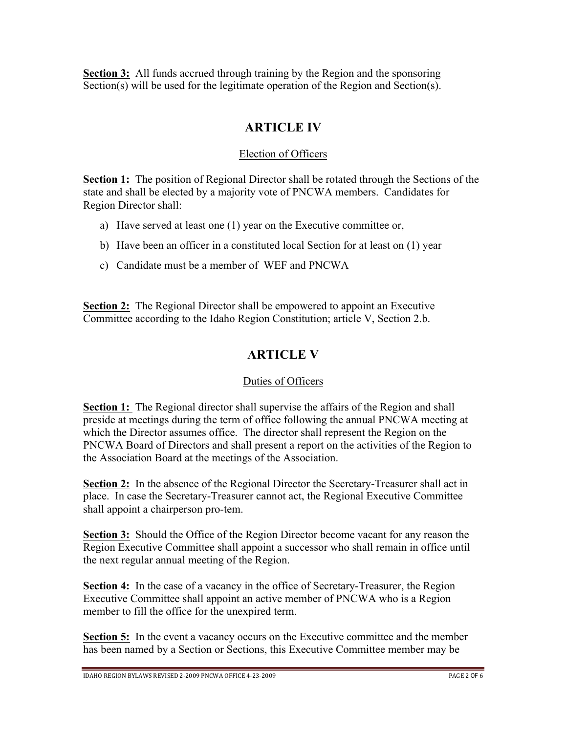**Section 3:** All funds accrued through training by the Region and the sponsoring Section(s) will be used for the legitimate operation of the Region and Section(s).

### **ARTICLE IV**

#### Election of Officers

**Section 1:** The position of Regional Director shall be rotated through the Sections of the state and shall be elected by a majority vote of PNCWA members. Candidates for Region Director shall:

- a) Have served at least one (1) year on the Executive committee or,
- b) Have been an officer in a constituted local Section for at least on (1) year
- c) Candidate must be a member of WEF and PNCWA

**Section 2:** The Regional Director shall be empowered to appoint an Executive Committee according to the Idaho Region Constitution; article V, Section 2.b.

# **ARTICLE V**

#### Duties of Officers

**Section 1:** The Regional director shall supervise the affairs of the Region and shall preside at meetings during the term of office following the annual PNCWA meeting at which the Director assumes office. The director shall represent the Region on the PNCWA Board of Directors and shall present a report on the activities of the Region to the Association Board at the meetings of the Association.

**Section 2:** In the absence of the Regional Director the Secretary-Treasurer shall act in place. In case the Secretary-Treasurer cannot act, the Regional Executive Committee shall appoint a chairperson pro-tem.

**Section 3:** Should the Office of the Region Director become vacant for any reason the Region Executive Committee shall appoint a successor who shall remain in office until the next regular annual meeting of the Region.

**Section 4:** In the case of a vacancy in the office of Secretary-Treasurer, the Region Executive Committee shall appoint an active member of PNCWA who is a Region member to fill the office for the unexpired term.

**Section 5:** In the event a vacancy occurs on the Executive committee and the member has been named by a Section or Sections, this Executive Committee member may be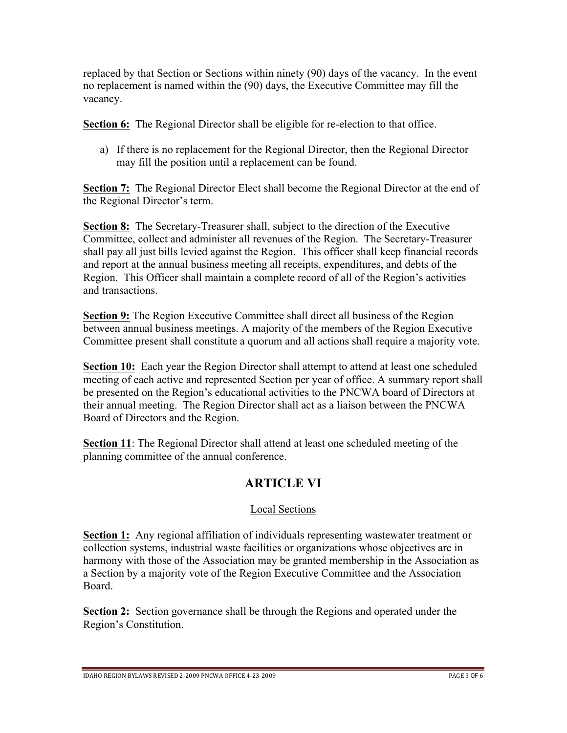replaced by that Section or Sections within ninety (90) days of the vacancy. In the event no replacement is named within the (90) days, the Executive Committee may fill the vacancy.

**Section 6:** The Regional Director shall be eligible for re-election to that office.

a) If there is no replacement for the Regional Director, then the Regional Director may fill the position until a replacement can be found.

**Section 7:** The Regional Director Elect shall become the Regional Director at the end of the Regional Director's term.

**Section 8:** The Secretary-Treasurer shall, subject to the direction of the Executive Committee, collect and administer all revenues of the Region. The Secretary-Treasurer shall pay all just bills levied against the Region. This officer shall keep financial records and report at the annual business meeting all receipts, expenditures, and debts of the Region. This Officer shall maintain a complete record of all of the Region's activities and transactions.

**Section 9:** The Region Executive Committee shall direct all business of the Region between annual business meetings. A majority of the members of the Region Executive Committee present shall constitute a quorum and all actions shall require a majority vote.

**Section 10:** Each year the Region Director shall attempt to attend at least one scheduled meeting of each active and represented Section per year of office. A summary report shall be presented on the Region's educational activities to the PNCWA board of Directors at their annual meeting. The Region Director shall act as a liaison between the PNCWA Board of Directors and the Region.

**Section 11**: The Regional Director shall attend at least one scheduled meeting of the planning committee of the annual conference.

# **ARTICLE VI**

### Local Sections

**Section 1:** Any regional affiliation of individuals representing wastewater treatment or collection systems, industrial waste facilities or organizations whose objectives are in harmony with those of the Association may be granted membership in the Association as a Section by a majority vote of the Region Executive Committee and the Association Board.

**Section 2:** Section governance shall be through the Regions and operated under the Region's Constitution.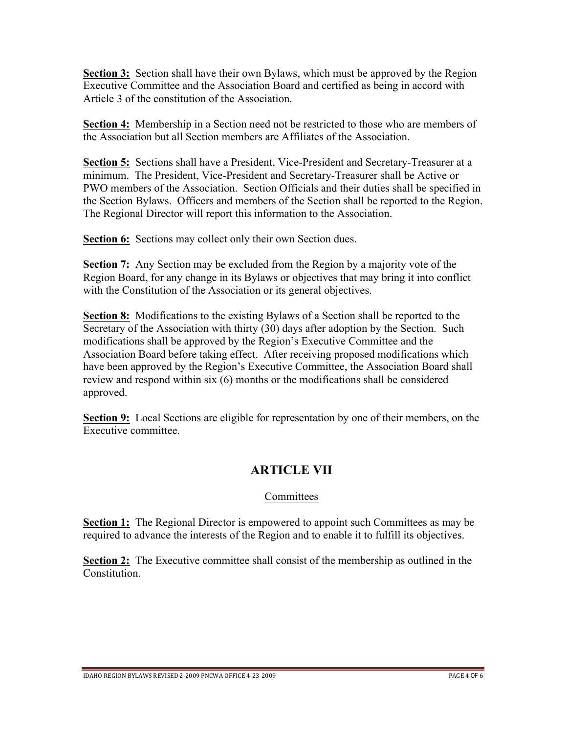**Section 3:** Section shall have their own Bylaws, which must be approved by the Region Executive Committee and the Association Board and certified as being in accord with Article 3 of the constitution of the Association.

**Section 4:** Membership in a Section need not be restricted to those who are members of the Association but all Section members are Affiliates of the Association.

**Section 5:** Sections shall have a President, Vice-President and Secretary-Treasurer at a minimum. The President, Vice-President and Secretary-Treasurer shall be Active or PWO members of the Association. Section Officials and their duties shall be specified in the Section Bylaws. Officers and members of the Section shall be reported to the Region. The Regional Director will report this information to the Association.

**Section 6:** Sections may collect only their own Section dues.

**Section 7:** Any Section may be excluded from the Region by a majority vote of the Region Board, for any change in its Bylaws or objectives that may bring it into conflict with the Constitution of the Association or its general objectives.

**Section 8:** Modifications to the existing Bylaws of a Section shall be reported to the Secretary of the Association with thirty (30) days after adoption by the Section. Such modifications shall be approved by the Region's Executive Committee and the Association Board before taking effect. After receiving proposed modifications which have been approved by the Region's Executive Committee, the Association Board shall review and respond within six (6) months or the modifications shall be considered approved.

**Section 9:** Local Sections are eligible for representation by one of their members, on the Executive committee.

### **ARTICLE VII**

#### **Committees**

**Section 1:** The Regional Director is empowered to appoint such Committees as may be required to advance the interests of the Region and to enable it to fulfill its objectives.

**Section 2:** The Executive committee shall consist of the membership as outlined in the **Constitution**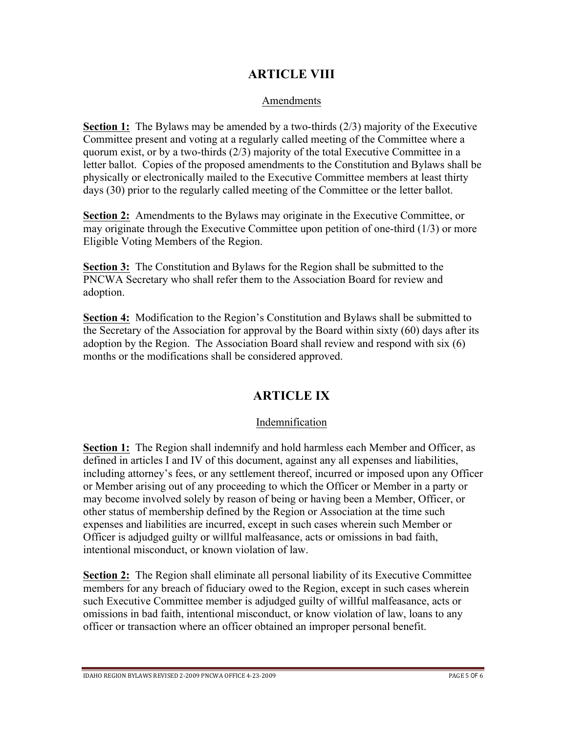### **ARTICLE VIII**

#### Amendments

**Section 1:** The Bylaws may be amended by a two-thirds (2/3) majority of the Executive Committee present and voting at a regularly called meeting of the Committee where a quorum exist, or by a two-thirds (2/3) majority of the total Executive Committee in a letter ballot. Copies of the proposed amendments to the Constitution and Bylaws shall be physically or electronically mailed to the Executive Committee members at least thirty days (30) prior to the regularly called meeting of the Committee or the letter ballot.

**Section 2:** Amendments to the Bylaws may originate in the Executive Committee, or may originate through the Executive Committee upon petition of one-third (1/3) or more Eligible Voting Members of the Region.

**Section 3:** The Constitution and Bylaws for the Region shall be submitted to the PNCWA Secretary who shall refer them to the Association Board for review and adoption.

**Section 4:** Modification to the Region's Constitution and Bylaws shall be submitted to the Secretary of the Association for approval by the Board within sixty (60) days after its adoption by the Region. The Association Board shall review and respond with six (6) months or the modifications shall be considered approved.

### **ARTICLE IX**

#### Indemnification

**Section 1:** The Region shall indemnify and hold harmless each Member and Officer, as defined in articles I and IV of this document, against any all expenses and liabilities, including attorney's fees, or any settlement thereof, incurred or imposed upon any Officer or Member arising out of any proceeding to which the Officer or Member in a party or may become involved solely by reason of being or having been a Member, Officer, or other status of membership defined by the Region or Association at the time such expenses and liabilities are incurred, except in such cases wherein such Member or Officer is adjudged guilty or willful malfeasance, acts or omissions in bad faith, intentional misconduct, or known violation of law.

**Section 2:** The Region shall eliminate all personal liability of its Executive Committee members for any breach of fiduciary owed to the Region, except in such cases wherein such Executive Committee member is adjudged guilty of willful malfeasance, acts or omissions in bad faith, intentional misconduct, or know violation of law, loans to any officer or transaction where an officer obtained an improper personal benefit.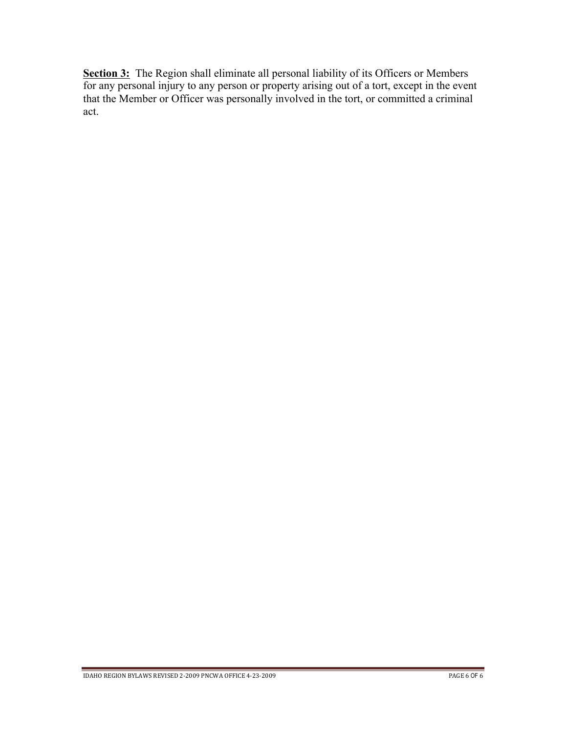**Section 3:** The Region shall eliminate all personal liability of its Officers or Members for any personal injury to any person or property arising out of a tort, except in the event that the Member or Officer was personally involved in the tort, or committed a criminal act.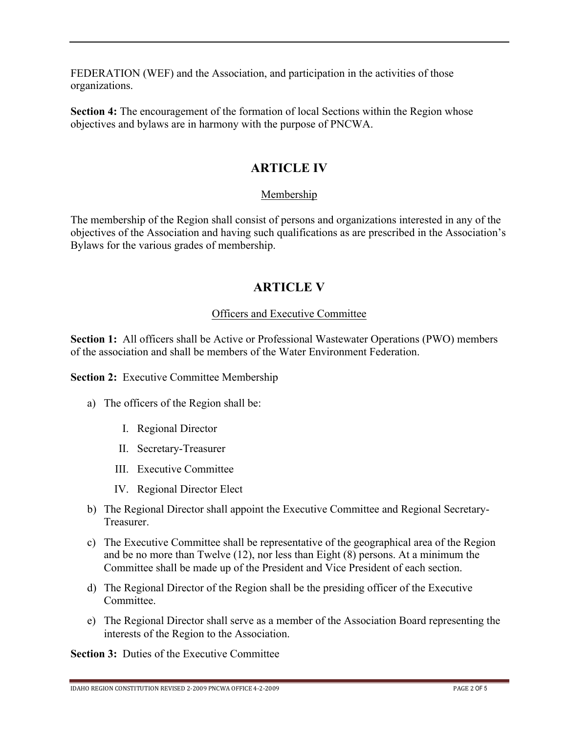FEDERATION (WEF) and the Association, and participation in the activities of those organizations.

**Section 4:** The encouragement of the formation of local Sections within the Region whose objectives and bylaws are in harmony with the purpose of PNCWA.

### **ARTICLE IV**

#### Membership

The membership of the Region shall consist of persons and organizations interested in any of the objectives of the Association and having such qualifications as are prescribed in the Association's Bylaws for the various grades of membership.

### **ARTICLE V**

#### Officers and Executive Committee

**Section 1:** All officers shall be Active or Professional Wastewater Operations (PWO) members of the association and shall be members of the Water Environment Federation.

**Section 2:** Executive Committee Membership

- a) The officers of the Region shall be:
	- I. Regional Director
	- II. Secretary-Treasurer
	- III. Executive Committee
	- IV. Regional Director Elect
- b) The Regional Director shall appoint the Executive Committee and Regional Secretary-Treasurer.
- c) The Executive Committee shall be representative of the geographical area of the Region and be no more than Twelve (12), nor less than Eight (8) persons. At a minimum the Committee shall be made up of the President and Vice President of each section.
- d) The Regional Director of the Region shall be the presiding officer of the Executive Committee.
- e) The Regional Director shall serve as a member of the Association Board representing the interests of the Region to the Association.

**Section 3:** Duties of the Executive Committee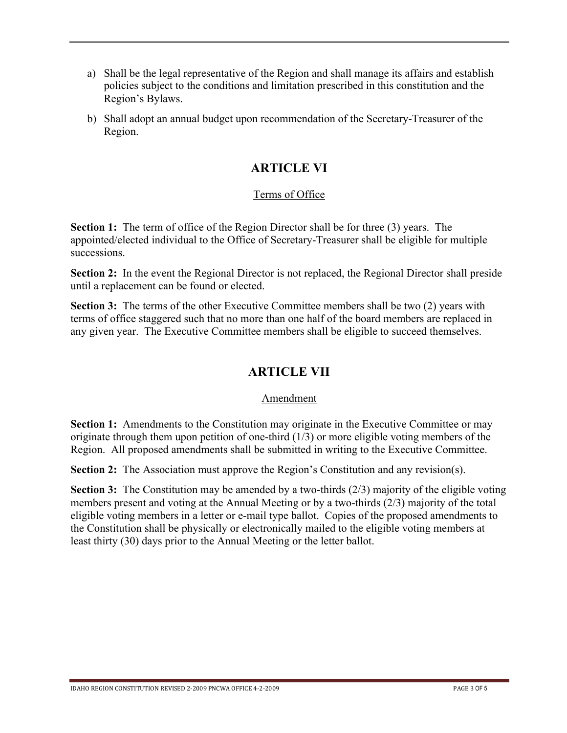- a) Shall be the legal representative of the Region and shall manage its affairs and establish policies subject to the conditions and limitation prescribed in this constitution and the Region's Bylaws.
- b) Shall adopt an annual budget upon recommendation of the Secretary-Treasurer of the Region.

### **ARTICLE VI**

#### Terms of Office

**Section 1:** The term of office of the Region Director shall be for three (3) years. The appointed/elected individual to the Office of Secretary-Treasurer shall be eligible for multiple successions.

**Section 2:** In the event the Regional Director is not replaced, the Regional Director shall preside until a replacement can be found or elected.

**Section 3:** The terms of the other Executive Committee members shall be two (2) years with terms of office staggered such that no more than one half of the board members are replaced in any given year. The Executive Committee members shall be eligible to succeed themselves.

# **ARTICLE VII**

#### Amendment

**Section 1:** Amendments to the Constitution may originate in the Executive Committee or may originate through them upon petition of one-third (1/3) or more eligible voting members of the Region. All proposed amendments shall be submitted in writing to the Executive Committee.

**Section 2:** The Association must approve the Region's Constitution and any revision(s).

**Section 3:** The Constitution may be amended by a two-thirds (2/3) majority of the eligible voting members present and voting at the Annual Meeting or by a two-thirds (2/3) majority of the total eligible voting members in a letter or e-mail type ballot. Copies of the proposed amendments to the Constitution shall be physically or electronically mailed to the eligible voting members at least thirty (30) days prior to the Annual Meeting or the letter ballot.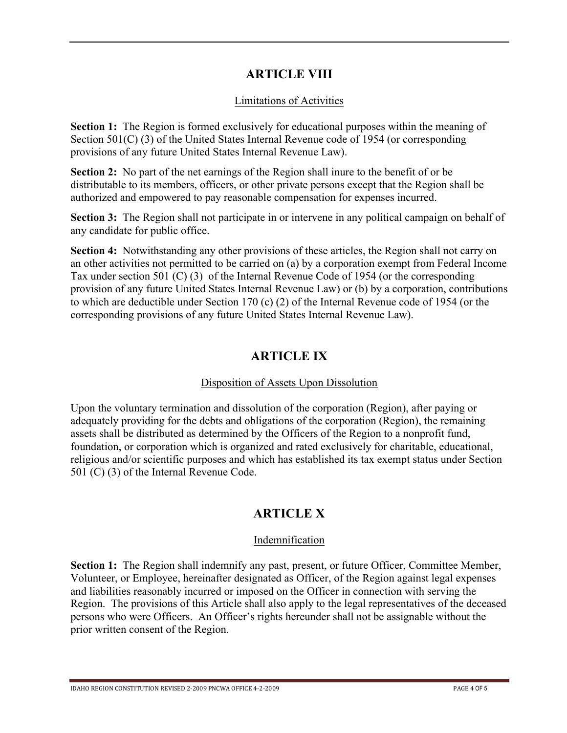### **ARTICLE VIII**

#### Limitations of Activities

**Section 1:** The Region is formed exclusively for educational purposes within the meaning of Section 501(C) (3) of the United States Internal Revenue code of 1954 (or corresponding provisions of any future United States Internal Revenue Law).

**Section 2:** No part of the net earnings of the Region shall inure to the benefit of or be distributable to its members, officers, or other private persons except that the Region shall be authorized and empowered to pay reasonable compensation for expenses incurred.

**Section 3:** The Region shall not participate in or intervene in any political campaign on behalf of any candidate for public office.

**Section 4:** Notwithstanding any other provisions of these articles, the Region shall not carry on an other activities not permitted to be carried on (a) by a corporation exempt from Federal Income Tax under section 501 (C) (3) of the Internal Revenue Code of 1954 (or the corresponding provision of any future United States Internal Revenue Law) or (b) by a corporation, contributions to which are deductible under Section 170 (c) (2) of the Internal Revenue code of 1954 (or the corresponding provisions of any future United States Internal Revenue Law).

### **ARTICLE IX**

#### Disposition of Assets Upon Dissolution

Upon the voluntary termination and dissolution of the corporation (Region), after paying or adequately providing for the debts and obligations of the corporation (Region), the remaining assets shall be distributed as determined by the Officers of the Region to a nonprofit fund, foundation, or corporation which is organized and rated exclusively for charitable, educational, religious and/or scientific purposes and which has established its tax exempt status under Section 501 (C) (3) of the Internal Revenue Code.

### **ARTICLE X**

#### Indemnification

**Section 1:** The Region shall indemnify any past, present, or future Officer, Committee Member, Volunteer, or Employee, hereinafter designated as Officer, of the Region against legal expenses and liabilities reasonably incurred or imposed on the Officer in connection with serving the Region. The provisions of this Article shall also apply to the legal representatives of the deceased persons who were Officers. An Officer's rights hereunder shall not be assignable without the prior written consent of the Region.